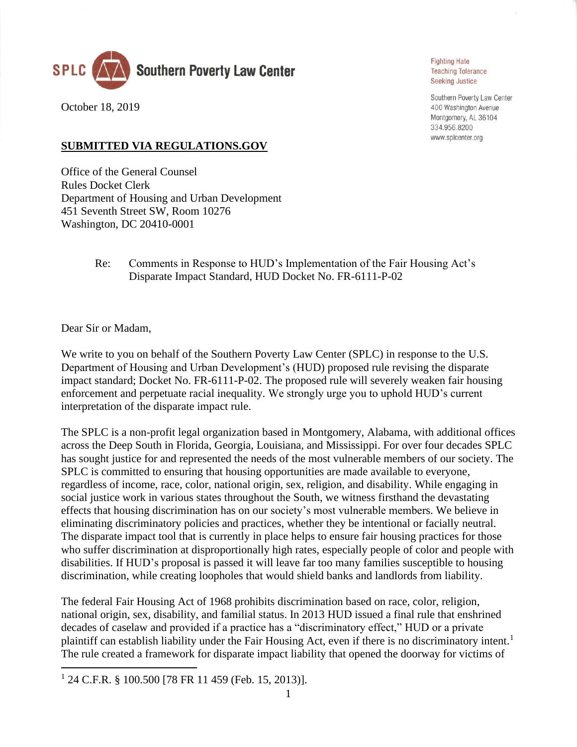

October 18, 2019

## **Fighting Hate Teaching Tolerance Seeking Justice**

Southern Poverty Law Center 400 Washington Avenue Montgomery, AL 36104 334.956.8200 www.splcenter.org

## **SUBMITTED VIA REGULATIONS.GOV**

Office of the General Counsel Rules Docket Clerk Department of Housing and Urban Development 451 Seventh Street SW, Room 10276 Washington, DC 20410-0001

> Re: Comments in Response to HUD's Implementation of the Fair Housing Act's Disparate Impact Standard, HUD Docket No. FR-6111-P-02

Dear Sir or Madam,

We write to you on behalf of the Southern Poverty Law Center (SPLC) in response to the U.S. Department of Housing and Urban Development's (HUD) proposed rule revising the disparate impact standard; Docket No. FR-6111-P-02. The proposed rule will severely weaken fair housing enforcement and perpetuate racial inequality. We strongly urge you to uphold HUD's current interpretation of the disparate impact rule.

The SPLC is a non-profit legal organization based in Montgomery, Alabama, with additional offices across the Deep South in Florida, Georgia, Louisiana, and Mississippi. For over four decades SPLC has sought justice for and represented the needs of the most vulnerable members of our society. The SPLC is committed to ensuring that housing opportunities are made available to everyone, regardless of income, race, color, national origin, sex, religion, and disability. While engaging in social justice work in various states throughout the South, we witness firsthand the devastating effects that housing discrimination has on our society's most vulnerable members. We believe in eliminating discriminatory policies and practices, whether they be intentional or facially neutral. The disparate impact tool that is currently in place helps to ensure fair housing practices for those who suffer discrimination at disproportionally high rates, especially people of color and people with disabilities. If HUD's proposal is passed it will leave far too many families susceptible to housing discrimination, while creating loopholes that would shield banks and landlords from liability.

The federal Fair Housing Act of 1968 prohibits discrimination based on race, color, religion, national origin, sex, disability, and familial status. In 2013 HUD issued a final rule that enshrined decades of caselaw and provided if a practice has a "discriminatory effect," HUD or a private plaintiff can establish liability under the Fair Housing Act, even if there is no discriminatory intent.<sup>1</sup> The rule created a framework for disparate impact liability that opened the doorway for victims of

<sup>1</sup> 24 C.F.R. § 100.500 [78 FR 11 459 (Feb. 15, 2013)].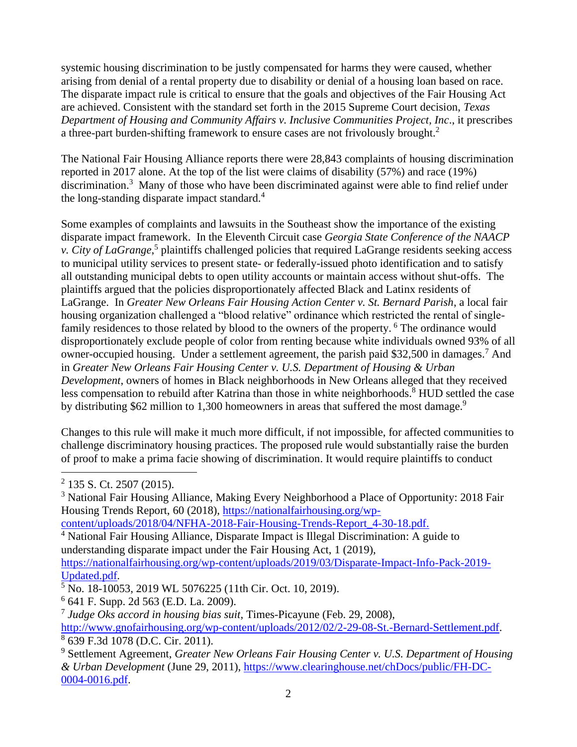systemic housing discrimination to be justly compensated for harms they were caused, whether arising from denial of a rental property due to disability or denial of a housing loan based on race. The disparate impact rule is critical to ensure that the goals and objectives of the Fair Housing Act are achieved. Consistent with the standard set forth in the 2015 Supreme Court decision, *Texas Department of Housing and Community Affairs v. Inclusive Communities Project, Inc*., it prescribes a three-part burden-shifting framework to ensure cases are not frivolously brought.<sup>2</sup>

The National Fair Housing Alliance reports there were 28,843 complaints of housing discrimination reported in 2017 alone. At the top of the list were claims of disability (57%) and race (19%) discrimination.<sup>3</sup> Many of those who have been discriminated against were able to find relief under the long-standing disparate impact standard.<sup>4</sup>

Some examples of complaints and lawsuits in the Southeast show the importance of the existing disparate impact framework. In the Eleventh Circuit case *Georgia State Conference of the NAACP*  v. City of LaGrange,<sup>5</sup> plaintiffs challenged policies that required LaGrange residents seeking access to municipal utility services to present state- or federally-issued photo identification and to satisfy all outstanding municipal debts to open utility accounts or maintain access without shut-offs. The plaintiffs argued that the policies disproportionately affected Black and Latinx residents of LaGrange. In *Greater New Orleans Fair Housing Action Center v. St. Bernard Parish*, a local fair housing organization challenged a "blood relative" ordinance which restricted the rental of singlefamily residences to those related by blood to the owners of the property. <sup>6</sup> The ordinance would disproportionately exclude people of color from renting because white individuals owned 93% of all owner-occupied housing. Under a settlement agreement, the parish paid \$32,500 in damages.<sup>7</sup> And in *Greater New Orleans Fair Housing Center v. U.S. Department of Housing & Urban Development*, owners of homes in Black neighborhoods in New Orleans alleged that they received less compensation to rebuild after Katrina than those in white neighborhoods.<sup>8</sup> HUD settled the case by distributing \$62 million to 1,300 homeowners in areas that suffered the most damage.<sup>9</sup>

Changes to this rule will make it much more difficult, if not impossible, for affected communities to challenge discriminatory housing practices. The proposed rule would substantially raise the burden of proof to make a prima facie showing of discrimination. It would require plaintiffs to conduct

[content/uploads/2018/04/NFHA-2018-Fair-Housing-Trends-Report\\_4-30-18.pdf.](https://nationalfairhousing.org/wp-content/uploads/2018/04/NFHA-2018-Fair-Housing-Trends-Report_4-30-18.pdf)

[Updated.pdf.](https://nationalfairhousing.org/wp-content/uploads/2019/03/Disparate-Impact-Info-Pack-2019-Updated.pdf)

6 641 F. Supp. 2d 563 (E.D. La. 2009).

<sup>&</sup>lt;sup>2</sup> 135 S. Ct. 2507 (2015).

<sup>&</sup>lt;sup>3</sup> National Fair Housing Alliance, Making Every Neighborhood a Place of Opportunity: 2018 Fair Housing Trends Report, 60 (2018), [https://nationalfairhousing.org/wp-](https://nationalfairhousing.org/wp-content/uploads/2018/04/NFHA-2018-Fair-Housing-Trends-Report_4-30-18.pdf)

<sup>&</sup>lt;sup>4</sup> National Fair Housing Alliance, Disparate Impact is Illegal Discrimination: A guide to understanding disparate impact under the Fair Housing Act, 1 (2019), [https://nationalfairhousing.org/wp-content/uploads/2019/03/Disparate-Impact-Info-Pack-2019-](https://nationalfairhousing.org/wp-content/uploads/2019/03/Disparate-Impact-Info-Pack-2019-Updated.pdf)

 $\frac{1}{5}$  No. 18-10053, 2019 WL 5076225 (11th Cir. Oct. 10, 2019).

<sup>7</sup> *Judge Oks accord in housing bias suit*, Times-Picayune (Feb. 29, 2008), [http://www.gnofairhousing.org/wp-content/uploads/2012/02/2-29-08-St.-Bernard-Settlement.pdf.](http://www.gnofairhousing.org/wp-content/uploads/2012/02/2-29-08-St.-Bernard-Settlement.pdf) 8 639 F.3d 1078 (D.C. Cir. 2011).

<sup>9</sup> Settlement Agreement, *Greater New Orleans Fair Housing Center v. U.S. Department of Housing & Urban Development* (June 29, 2011), [https://www.clearinghouse.net/chDocs/public/FH-DC-](https://www.clearinghouse.net/chDocs/public/FH-DC-0004-0016.pdf)[0004-0016.pdf.](https://www.clearinghouse.net/chDocs/public/FH-DC-0004-0016.pdf)